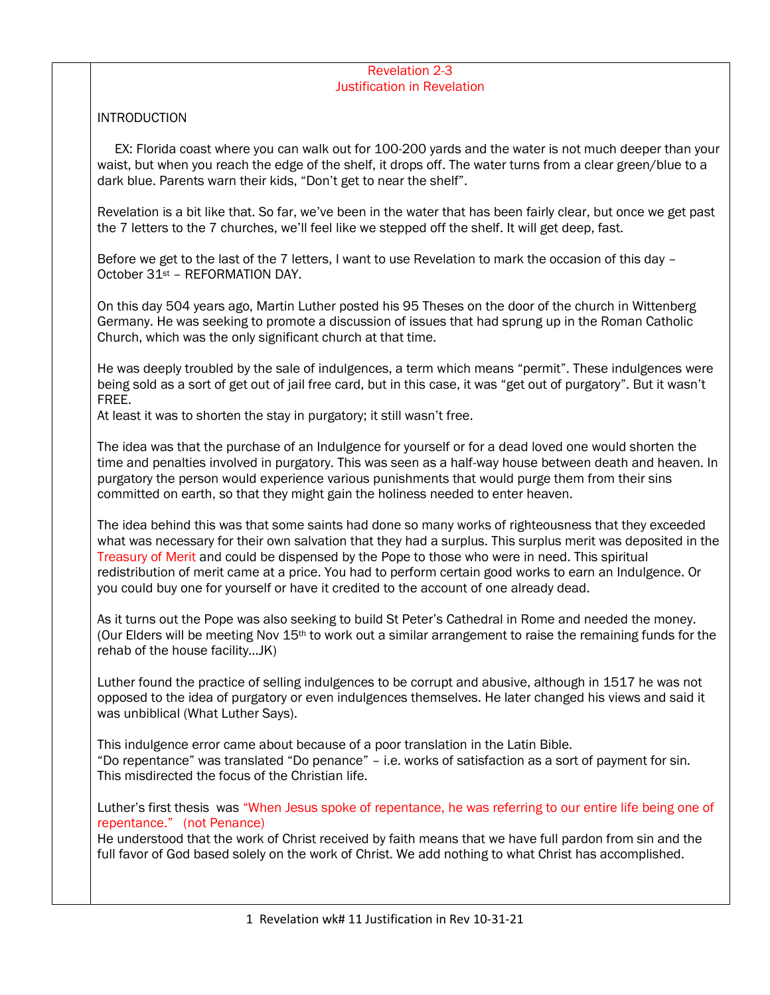## Revelation 2-3 Justification in Revelation

## **INTRODUCTION**

 EX: Florida coast where you can walk out for 100-200 yards and the water is not much deeper than your waist, but when you reach the edge of the shelf, it drops off. The water turns from a clear green/blue to a dark blue. Parents warn their kids, "Don't get to near the shelf".

Revelation is a bit like that. So far, we've been in the water that has been fairly clear, but once we get past the 7 letters to the 7 churches, we'll feel like we stepped off the shelf. It will get deep, fast.

Before we get to the last of the 7 letters, I want to use Revelation to mark the occasion of this day – October 31st – REFORMATION DAY.

On this day 504 years ago, Martin Luther posted his 95 Theses on the door of the church in Wittenberg Germany. He was seeking to promote a discussion of issues that had sprung up in the Roman Catholic Church, which was the only significant church at that time.

He was deeply troubled by the sale of indulgences, a term which means "permit". These indulgences were being sold as a sort of get out of jail free card, but in this case, it was "get out of purgatory". But it wasn't FREE.

At least it was to shorten the stay in purgatory; it still wasn't free.

The idea was that the purchase of an Indulgence for yourself or for a dead loved one would shorten the time and penalties involved in purgatory. This was seen as a half-way house between death and heaven. In purgatory the person would experience various punishments that would purge them from their sins committed on earth, so that they might gain the holiness needed to enter heaven.

The idea behind this was that some saints had done so many works of righteousness that they exceeded what was necessary for their own salvation that they had a surplus. This surplus merit was deposited in the Treasury of Merit and could be dispensed by the Pope to those who were in need. This spiritual redistribution of merit came at a price. You had to perform certain good works to earn an Indulgence. Or you could buy one for yourself or have it credited to the account of one already dead.

As it turns out the Pope was also seeking to build St Peter's Cathedral in Rome and needed the money. (Our Elders will be meeting Nov  $15<sup>th</sup>$  to work out a similar arrangement to raise the remaining funds for the rehab of the house facility…JK)

Luther found the practice of selling indulgences to be corrupt and abusive, although in 1517 he was not opposed to the idea of purgatory or even indulgences themselves. He later changed his views and said it was unbiblical (What Luther Says).

This indulgence error came about because of a poor translation in the Latin Bible. "Do repentance" was translated "Do penance" – i.e. works of satisfaction as a sort of payment for sin. This misdirected the focus of the Christian life.

Luther's first thesis was "When Jesus spoke of repentance, he was referring to our entire life being one of repentance." (not Penance)

He understood that the work of Christ received by faith means that we have full pardon from sin and the full favor of God based solely on the work of Christ. We add nothing to what Christ has accomplished.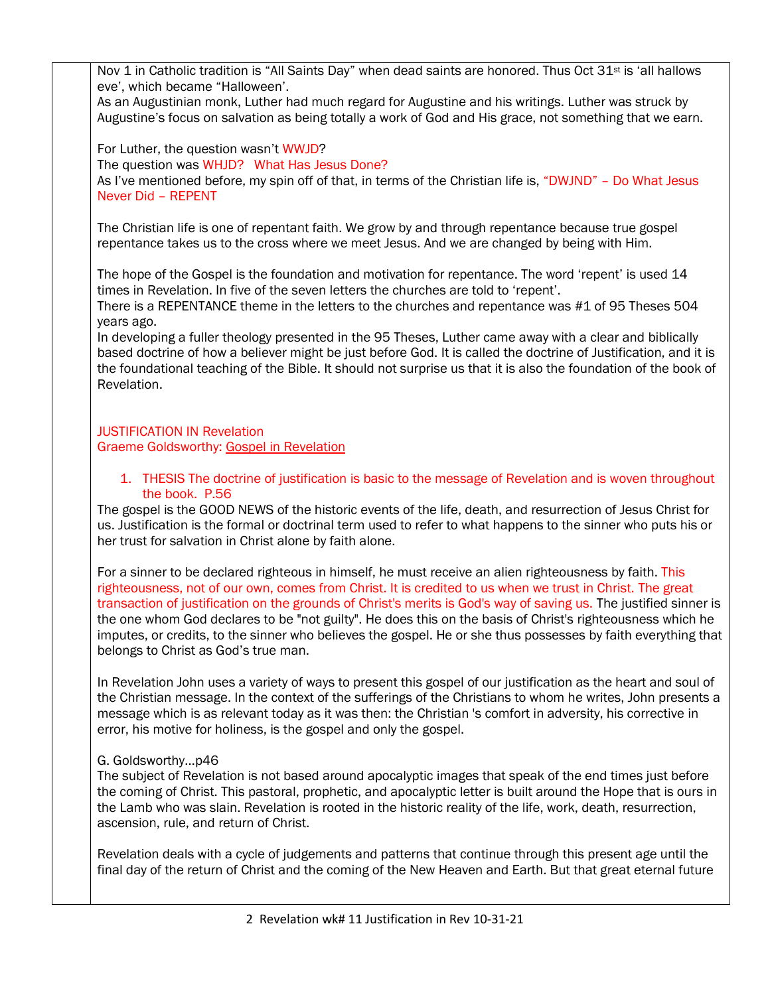2 Revelation wk# 11 Justification in Rev 10-31-21 Nov 1 in Catholic tradition is "All Saints Day" when dead saints are honored. Thus Oct 31<sup>st</sup> is 'all hallows eve', which became "Halloween'. As an Augustinian monk, Luther had much regard for Augustine and his writings. Luther was struck by Augustine's focus on salvation as being totally a work of God and His grace, not something that we earn. For Luther, the question wasn't WWJD? The question was WHJD? What Has Jesus Done? As I've mentioned before, my spin off of that, in terms of the Christian life is, "DWJND" - Do What Jesus Never Did – REPENT The Christian life is one of repentant faith. We grow by and through repentance because true gospel repentance takes us to the cross where we meet Jesus. And we are changed by being with Him. The hope of the Gospel is the foundation and motivation for repentance. The word 'repent' is used 14 times in Revelation. In five of the seven letters the churches are told to 'repent'. There is a REPENTANCE theme in the letters to the churches and repentance was #1 of 95 Theses 504 years ago. In developing a fuller theology presented in the 95 Theses, Luther came away with a clear and biblically based doctrine of how a believer might be just before God. It is called the doctrine of Justification, and it is the foundational teaching of the Bible. It should not surprise us that it is also the foundation of the book of Revelation. JUSTIFICATION IN Revelation Graeme Goldsworthy: Gospel in Revelation 1. THESIS The doctrine of justification is basic to the message of Revelation and is woven throughout the book. P.56 The gospel is the GOOD NEWS of the historic events of the life, death, and resurrection of Jesus Christ for us. Justification is the formal or doctrinal term used to refer to what happens to the sinner who puts his or her trust for salvation in Christ alone by faith alone. For a sinner to be declared righteous in himself, he must receive an alien righteousness by faith. This righteousness, not of our own, comes from Christ. It is credited to us when we trust in Christ. The great transaction of justification on the grounds of Christ's merits is God's way of saving us. The justified sinner is the one whom God declares to be "not guilty". He does this on the basis of Christ's righteousness which he imputes, or credits, to the sinner who believes the gospel. He or she thus possesses by faith everything that belongs to Christ as God's true man. In Revelation John uses a variety of ways to present this gospel of our justification as the heart and soul of the Christian message. In the context of the sufferings of the Christians to whom he writes, John presents a message which is as relevant today as it was then: the Christian 's comfort in adversity, his corrective in error, his motive for holiness, is the gospel and only the gospel. G. Goldsworthy…p46 The subject of Revelation is not based around apocalyptic images that speak of the end times just before the coming of Christ. This pastoral, prophetic, and apocalyptic letter is built around the Hope that is ours in the Lamb who was slain. Revelation is rooted in the historic reality of the life, work, death, resurrection, ascension, rule, and return of Christ. Revelation deals with a cycle of judgements and patterns that continue through this present age until the final day of the return of Christ and the coming of the New Heaven and Earth. But that great eternal future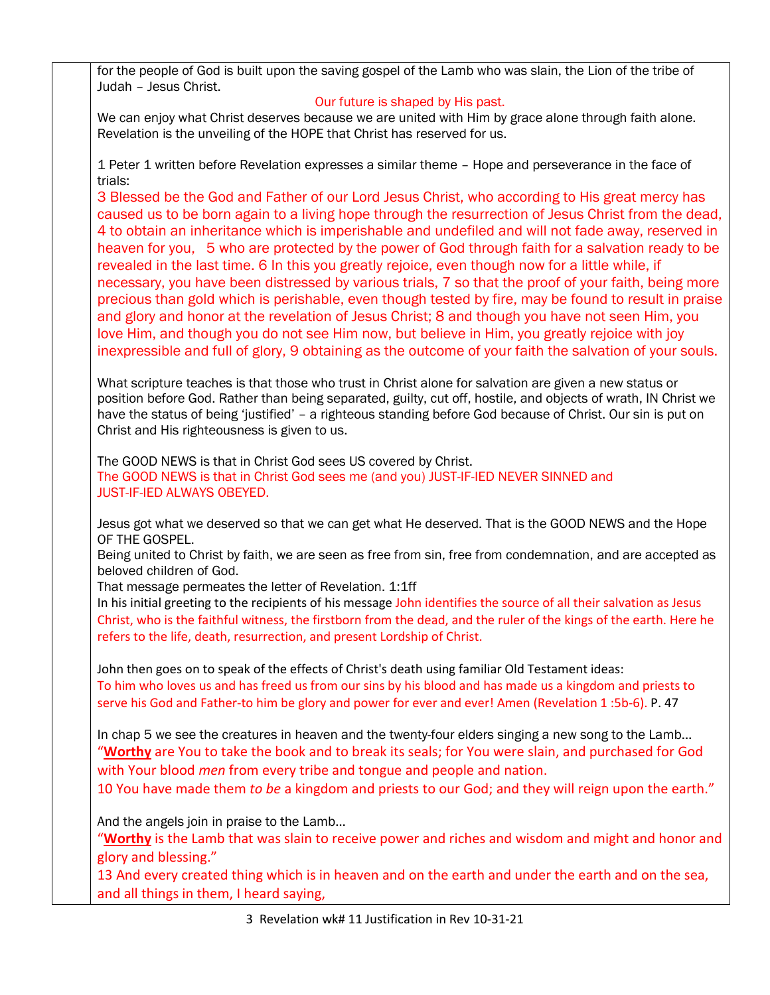for the people of God is built upon the saving gospel of the Lamb who was slain, the Lion of the tribe of Judah – Jesus Christ.

## Our future is shaped by His past.

We can enjoy what Christ deserves because we are united with Him by grace alone through faith alone. Revelation is the unveiling of the HOPE that Christ has reserved for us.

1 Peter 1 written before Revelation expresses a similar theme – Hope and perseverance in the face of trials:

3 Blessed be the God and Father of our Lord Jesus Christ, who according to His great mercy has caused us to be born again to a living hope through the resurrection of Jesus Christ from the dead, 4 to obtain an inheritance which is imperishable and undefiled and will not fade away, reserved in heaven for you, 5 who are protected by the power of God through faith for a salvation ready to be revealed in the last time. 6 In this you greatly rejoice, even though now for a little while, if necessary, you have been distressed by various trials, 7 so that the proof of your faith, being more precious than gold which is perishable, even though tested by fire, may be found to result in praise and glory and honor at the revelation of Jesus Christ; 8 and though you have not seen Him, you love Him, and though you do not see Him now, but believe in Him, you greatly rejoice with joy inexpressible and full of glory, 9 obtaining as the outcome of your faith the salvation of your souls.

What scripture teaches is that those who trust in Christ alone for salvation are given a new status or position before God. Rather than being separated, guilty, cut off, hostile, and objects of wrath, IN Christ we have the status of being 'justified' - a righteous standing before God because of Christ. Our sin is put on Christ and His righteousness is given to us.

The GOOD NEWS is that in Christ God sees US covered by Christ. The GOOD NEWS is that in Christ God sees me (and you) JUST-IF-IED NEVER SINNED and JUST-IF-IED ALWAYS OBEYED.

Jesus got what we deserved so that we can get what He deserved. That is the GOOD NEWS and the Hope OF THE GOSPEL.

Being united to Christ by faith, we are seen as free from sin, free from condemnation, and are accepted as beloved children of God.

That message permeates the letter of Revelation. 1:1ff

In his initial greeting to the recipients of his message John identifies the source of all their salvation as Jesus Christ, who is the faithful witness, the firstborn from the dead, and the ruler of the kings of the earth. Here he refers to the life, death, resurrection, and present Lordship of Christ.

John then goes on to speak of the effects of Christ's death using familiar Old Testament ideas: To him who loves us and has freed us from our sins by his blood and has made us a kingdom and priests to serve his God and Father-to him be glory and power for ever and ever! Amen (Revelation 1 :5b-6). P. 47

In chap 5 we see the creatures in heaven and the twenty-four elders singing a new song to the Lamb… "**Worthy** are You to take the book and to break its seals; for You were slain, and purchased for God with Your blood *men* from every tribe and tongue and people and nation.

10 You have made them *to be* a kingdom and priests to our God; and they will reign upon the earth."

And the angels join in praise to the Lamb…

"**Worthy** is the Lamb that was slain to receive power and riches and wisdom and might and honor and glory and blessing."

13 And every created thing which is in heaven and on the earth and under the earth and on the sea, and all things in them, I heard saying,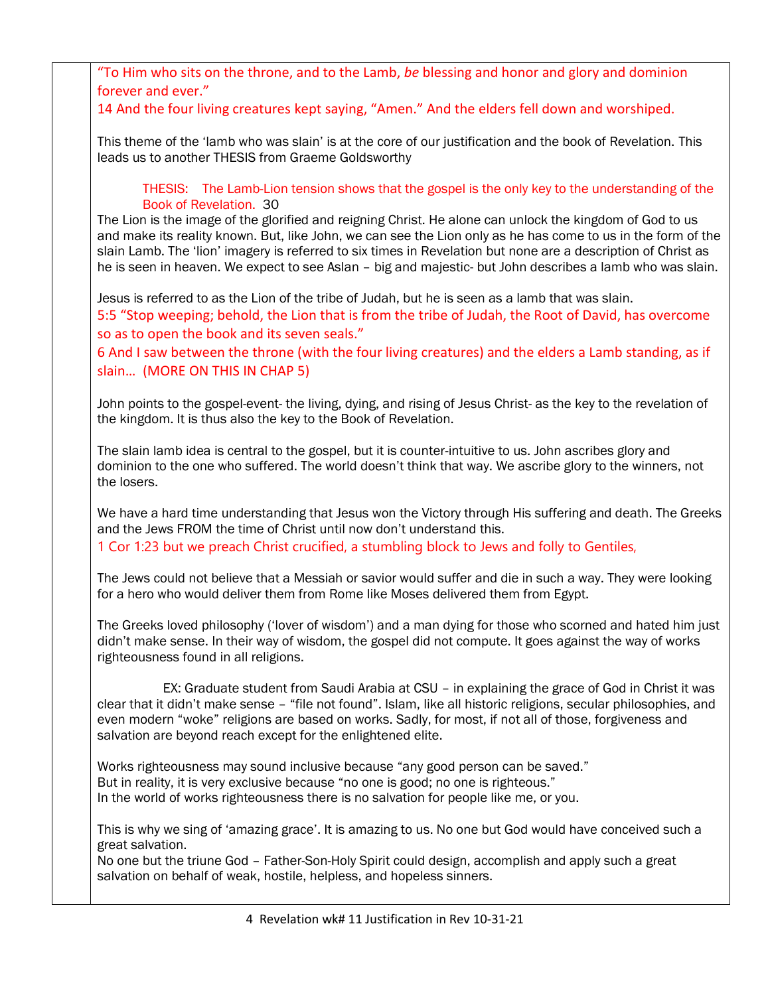"To Him who sits on the throne, and to the Lamb, *be* blessing and honor and glory and dominion forever and ever." 14 And the four living creatures kept saying, "Amen." And the elders fell down and worshiped. This theme of the 'lamb who was slain' is at the core of our justification and the book of Revelation. This leads us to another THESIS from Graeme Goldsworthy THESIS: The Lamb-Lion tension shows that the gospel is the only key to the understanding of the Book of Revelation. 30 The Lion is the image of the glorified and reigning Christ. He alone can unlock the kingdom of God to us and make its reality known. But, like John, we can see the Lion only as he has come to us in the form of the slain Lamb. The 'lion' imagery is referred to six times in Revelation but none are a description of Christ as he is seen in heaven. We expect to see Aslan – big and majestic- but John describes a lamb who was slain. Jesus is referred to as the Lion of the tribe of Judah, but he is seen as a lamb that was slain. 5:5 "Stop weeping; behold, the Lion that is from the tribe of Judah, the Root of David, has overcome so as to open the book and its seven seals." 6 And I saw between the throne (with the four living creatures) and the elders a Lamb standing, as if slain… (MORE ON THIS IN CHAP 5) John points to the gospel-event- the living, dying, and rising of Jesus Christ- as the key to the revelation of the kingdom. It is thus also the key to the Book of Revelation. The slain lamb idea is central to the gospel, but it is counter-intuitive to us. John ascribes glory and dominion to the one who suffered. The world doesn't think that way. We ascribe glory to the winners, not the losers. We have a hard time understanding that Jesus won the Victory through His suffering and death. The Greeks and the Jews FROM the time of Christ until now don't understand this. 1 Cor 1:23 but we preach Christ crucified, a stumbling block to Jews and folly to Gentiles, The Jews could not believe that a Messiah or savior would suffer and die in such a way. They were looking for a hero who would deliver them from Rome like Moses delivered them from Egypt. The Greeks loved philosophy ('lover of wisdom') and a man dying for those who scorned and hated him just didn't make sense. In their way of wisdom, the gospel did not compute. It goes against the way of works righteousness found in all religions. EX: Graduate student from Saudi Arabia at CSU – in explaining the grace of God in Christ it was clear that it didn't make sense – "file not found". Islam, like all historic religions, secular philosophies, and even modern "woke" religions are based on works. Sadly, for most, if not all of those, forgiveness and salvation are beyond reach except for the enlightened elite. Works righteousness may sound inclusive because "any good person can be saved." But in reality, it is very exclusive because "no one is good; no one is righteous." In the world of works righteousness there is no salvation for people like me, or you. This is why we sing of 'amazing grace'. It is amazing to us. No one but God would have conceived such a great salvation. No one but the triune God – Father-Son-Holy Spirit could design, accomplish and apply such a great salvation on behalf of weak, hostile, helpless, and hopeless sinners.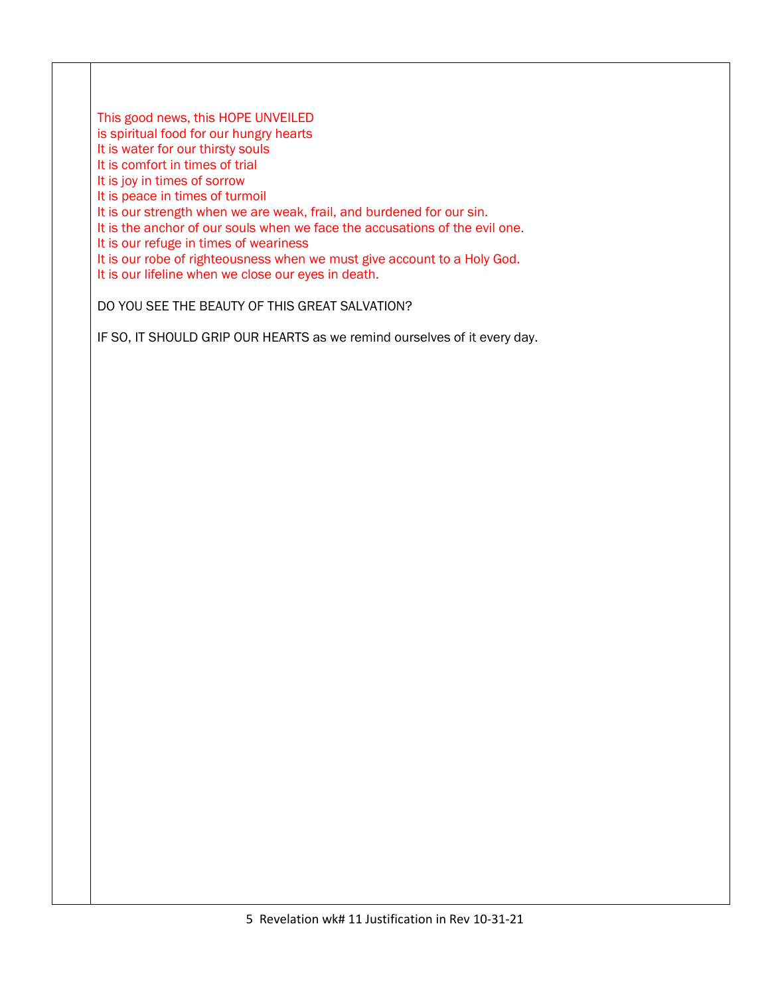This good news, this HOPE UNVEILED

is spiritual food for our hungry hearts

It is water for our thirsty souls

It is comfort in times of trial

It is joy in times of sorrow

It is peace in times of turmoil

It is our strength when we are weak, frail, and burdened for our sin.

It is the anchor of our souls when we face the accusations of the evil one.

It is our refuge in times of weariness

It is our robe of righteousness when we must give account to a Holy God.

It is our lifeline when we close our eyes in death.

DO YOU SEE THE BEAUTY OF THIS GREAT SALVATION?

IF SO, IT SHOULD GRIP OUR HEARTS as we remind ourselves of it every day.